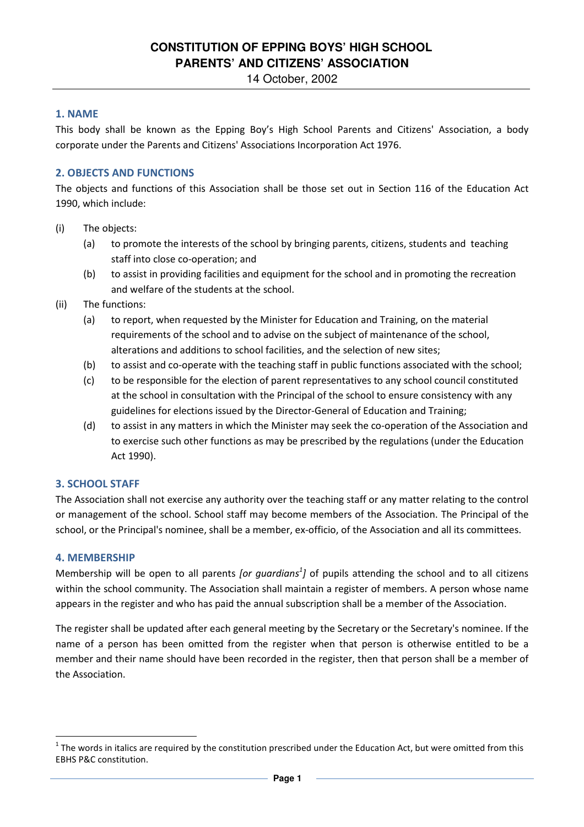# **CONSTITUTION OF EPPING BOYS' HIGH SCHOOL PARENTS' AND CITIZENS' ASSOCIATION**

14 October, 2002

# **1. NAME**

This body shall be known as the Epping Boy's High School Parents and Citizens' Association, a body corporate under the Parents and Citizens' Associations Incorporation Act 1976.

# **2. OBJECTS AND FUNCTIONS**

The objects and functions of this Association shall be those set out in Section 116 of the Education Act 1990, which include:

- (i) The objects:
	- (a) to promote the interests of the school by bringing parents, citizens, students and teaching staff into close co-operation; and
	- (b) to assist in providing facilities and equipment for the school and in promoting the recreation and welfare of the students at the school.
- (ii) The functions:
	- (a) to report, when requested by the Minister for Education and Training, on the material requirements of the school and to advise on the subject of maintenance of the school, alterations and additions to school facilities, and the selection of new sites;
	- (b) to assist and co-operate with the teaching staff in public functions associated with the school;
	- (c) to be responsible for the election of parent representatives to any school council constituted at the school in consultation with the Principal of the school to ensure consistency with any guidelines for elections issued by the Director-General of Education and Training;
	- (d) to assist in any matters in which the Minister may seek the co-operation of the Association and to exercise such other functions as may be prescribed by the regulations (under the Education Act 1990).

# **3. SCHOOL STAFF**

The Association shall not exercise any authority over the teaching staff or any matter relating to the control or management of the school. School staff may become members of the Association. The Principal of the school, or the Principal's nominee, shall be a member, ex-officio, of the Association and all its committees.

#### **4. MEMBERSHIP**

 $\overline{\phantom{0}}$ 

Membership will be open to all parents *[or guardians<sup>1</sup>]* of pupils attending the school and to all citizens within the school community. The Association shall maintain a register of members. A person whose name appears in the register and who has paid the annual subscription shall be a member of the Association.

The register shall be updated after each general meeting by the Secretary or the Secretary's nominee. If the name of a person has been omitted from the register when that person is otherwise entitled to be a member and their name should have been recorded in the register, then that person shall be a member of the Association.

 $^1$  The words in italics are required by the constitution prescribed under the Education Act, but were omitted from this EBHS P&C constitution.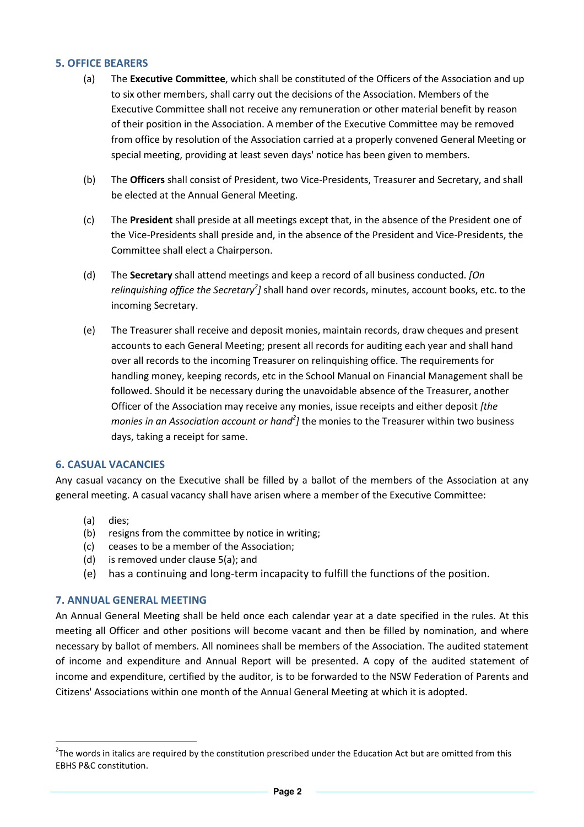# **5. OFFICE BEARERS**

- (a) The **Executive Committee**, which shall be constituted of the Officers of the Association and up to six other members, shall carry out the decisions of the Association. Members of the Executive Committee shall not receive any remuneration or other material benefit by reason of their position in the Association. A member of the Executive Committee may be removed from office by resolution of the Association carried at a properly convened General Meeting or special meeting, providing at least seven days' notice has been given to members.
- (b) The **Officers** shall consist of President, two Vice-Presidents, Treasurer and Secretary, and shall be elected at the Annual General Meeting.
- (c) The **President** shall preside at all meetings except that, in the absence of the President one of the Vice-Presidents shall preside and, in the absence of the President and Vice-Presidents, the Committee shall elect a Chairperson.
- (d) The **Secretary** shall attend meetings and keep a record of all business conducted. *[On*  relinquishing office the Secretary<sup>2</sup>] shall hand over records, minutes, account books, etc. to the incoming Secretary.
- (e) The Treasurer shall receive and deposit monies, maintain records, draw cheques and present accounts to each General Meeting; present all records for auditing each year and shall hand over all records to the incoming Treasurer on relinquishing office. The requirements for handling money, keeping records, etc in the School Manual on Financial Management shall be followed. Should it be necessary during the unavoidable absence of the Treasurer, another Officer of the Association may receive any monies, issue receipts and either deposit *[the*  monies in an Association account or hand<sup>2</sup>] the monies to the Treasurer within two business days, taking a receipt for same.

#### **6. CASUAL VACANCIES**

Any casual vacancy on the Executive shall be filled by a ballot of the members of the Association at any general meeting. A casual vacancy shall have arisen where a member of the Executive Committee:

(a) dies;

 $\overline{\phantom{0}}$ 

- (b) resigns from the committee by notice in writing;
- (c) ceases to be a member of the Association;
- (d) is removed under clause 5(a); and
- (e) has a continuing and long-term incapacity to fulfill the functions of the position.

### **7. ANNUAL GENERAL MEETING**

An Annual General Meeting shall be held once each calendar year at a date specified in the rules. At this meeting all Officer and other positions will become vacant and then be filled by nomination, and where necessary by ballot of members. All nominees shall be members of the Association. The audited statement of income and expenditure and Annual Report will be presented. A copy of the audited statement of income and expenditure, certified by the auditor, is to be forwarded to the NSW Federation of Parents and Citizens' Associations within one month of the Annual General Meeting at which it is adopted.

 $2$ The words in italics are required by the constitution prescribed under the Education Act but are omitted from this EBHS P&C constitution.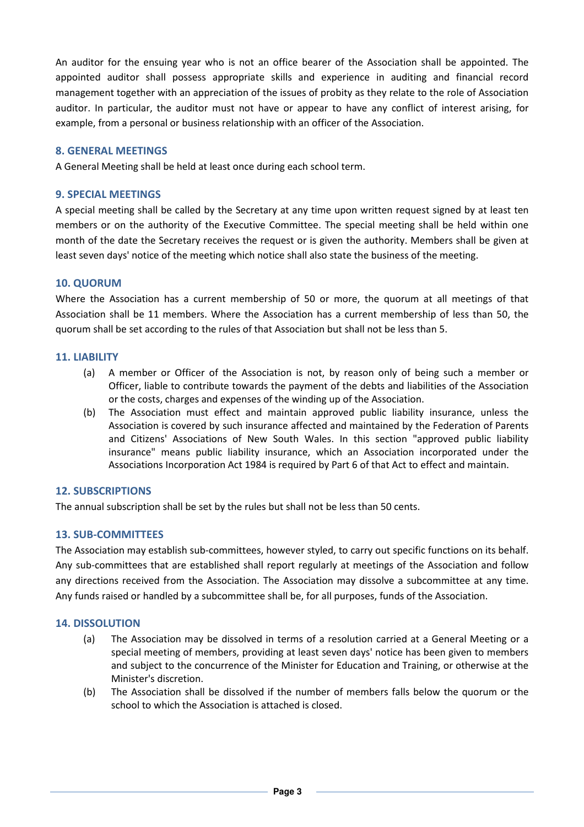An auditor for the ensuing year who is not an office bearer of the Association shall be appointed. The appointed auditor shall possess appropriate skills and experience in auditing and financial record management together with an appreciation of the issues of probity as they relate to the role of Association auditor. In particular, the auditor must not have or appear to have any conflict of interest arising, for example, from a personal or business relationship with an officer of the Association.

### **8. GENERAL MEETINGS**

A General Meeting shall be held at least once during each school term.

### **9. SPECIAL MEETINGS**

A special meeting shall be called by the Secretary at any time upon written request signed by at least ten members or on the authority of the Executive Committee. The special meeting shall be held within one month of the date the Secretary receives the request or is given the authority. Members shall be given at least seven days' notice of the meeting which notice shall also state the business of the meeting.

### **10. QUORUM**

Where the Association has a current membership of 50 or more, the quorum at all meetings of that Association shall be 11 members. Where the Association has a current membership of less than 50, the quorum shall be set according to the rules of that Association but shall not be less than 5.

#### **11. LIABILITY**

- (a) A member or Officer of the Association is not, by reason only of being such a member or Officer, liable to contribute towards the payment of the debts and liabilities of the Association or the costs, charges and expenses of the winding up of the Association.
- (b) The Association must effect and maintain approved public liability insurance, unless the Association is covered by such insurance affected and maintained by the Federation of Parents and Citizens' Associations of New South Wales. In this section "approved public liability insurance" means public liability insurance, which an Association incorporated under the Associations Incorporation Act 1984 is required by Part 6 of that Act to effect and maintain.

# **12. SUBSCRIPTIONS**

The annual subscription shall be set by the rules but shall not be less than 50 cents.

# **13. SUB-COMMITTEES**

The Association may establish sub-committees, however styled, to carry out specific functions on its behalf. Any sub-committees that are established shall report regularly at meetings of the Association and follow any directions received from the Association. The Association may dissolve a subcommittee at any time. Any funds raised or handled by a subcommittee shall be, for all purposes, funds of the Association.

# **14. DISSOLUTION**

- (a) The Association may be dissolved in terms of a resolution carried at a General Meeting or a special meeting of members, providing at least seven days' notice has been given to members and subject to the concurrence of the Minister for Education and Training, or otherwise at the Minister's discretion.
- (b) The Association shall be dissolved if the number of members falls below the quorum or the school to which the Association is attached is closed.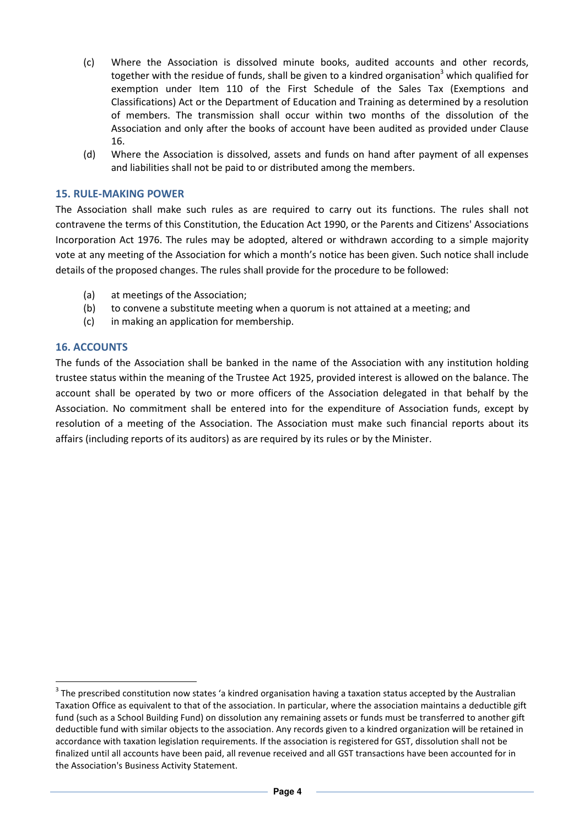- (c) Where the Association is dissolved minute books, audited accounts and other records, together with the residue of funds, shall be given to a kindred organisation<sup>3</sup> which qualified for exemption under Item 110 of the First Schedule of the Sales Tax (Exemptions and Classifications) Act or the Department of Education and Training as determined by a resolution of members. The transmission shall occur within two months of the dissolution of the Association and only after the books of account have been audited as provided under Clause 16.
- (d) Where the Association is dissolved, assets and funds on hand after payment of all expenses and liabilities shall not be paid to or distributed among the members.

### **15. RULE-MAKING POWER**

The Association shall make such rules as are required to carry out its functions. The rules shall not contravene the terms of this Constitution, the Education Act 1990, or the Parents and Citizens' Associations Incorporation Act 1976. The rules may be adopted, altered or withdrawn according to a simple majority vote at any meeting of the Association for which a month's notice has been given. Such notice shall include details of the proposed changes. The rules shall provide for the procedure to be followed:

- (a) at meetings of the Association;
- (b) to convene a substitute meeting when a quorum is not attained at a meeting; and
- (c) in making an application for membership.

### **16. ACCOUNTS**

 $\overline{\phantom{0}}$ 

The funds of the Association shall be banked in the name of the Association with any institution holding trustee status within the meaning of the Trustee Act 1925, provided interest is allowed on the balance. The account shall be operated by two or more officers of the Association delegated in that behalf by the Association. No commitment shall be entered into for the expenditure of Association funds, except by resolution of a meeting of the Association. The Association must make such financial reports about its affairs (including reports of its auditors) as are required by its rules or by the Minister.

 $3$  The prescribed constitution now states 'a kindred organisation having a taxation status accepted by the Australian Taxation Office as equivalent to that of the association. In particular, where the association maintains a deductible gift fund (such as a School Building Fund) on dissolution any remaining assets or funds must be transferred to another gift deductible fund with similar objects to the association. Any records given to a kindred organization will be retained in accordance with taxation legislation requirements. If the association is registered for GST, dissolution shall not be finalized until all accounts have been paid, all revenue received and all GST transactions have been accounted for in the Association's Business Activity Statement.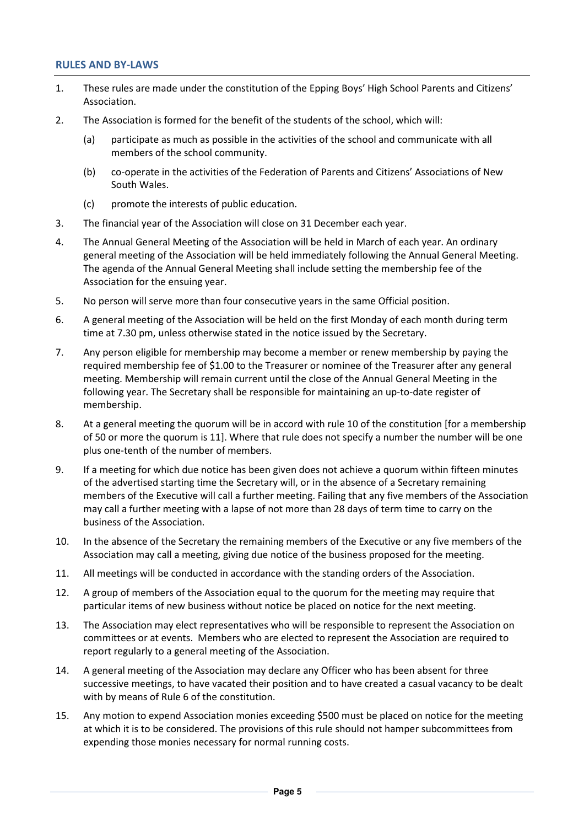#### **RULES AND BY-LAWS**

- 1. These rules are made under the constitution of the Epping Boys' High School Parents and Citizens' Association.
- 2. The Association is formed for the benefit of the students of the school, which will:
	- (a) participate as much as possible in the activities of the school and communicate with all members of the school community.
	- (b) co-operate in the activities of the Federation of Parents and Citizens' Associations of New South Wales.
	- (c) promote the interests of public education.
- 3. The financial year of the Association will close on 31 December each year.
- 4. The Annual General Meeting of the Association will be held in March of each year. An ordinary general meeting of the Association will be held immediately following the Annual General Meeting. The agenda of the Annual General Meeting shall include setting the membership fee of the Association for the ensuing year.
- 5. No person will serve more than four consecutive years in the same Official position.
- 6. A general meeting of the Association will be held on the first Monday of each month during term time at 7.30 pm, unless otherwise stated in the notice issued by the Secretary.
- 7. Any person eligible for membership may become a member or renew membership by paying the required membership fee of \$1.00 to the Treasurer or nominee of the Treasurer after any general meeting. Membership will remain current until the close of the Annual General Meeting in the following year. The Secretary shall be responsible for maintaining an up-to-date register of membership.
- 8. At a general meeting the quorum will be in accord with rule 10 of the constitution [for a membership of 50 or more the quorum is 11]. Where that rule does not specify a number the number will be one plus one-tenth of the number of members.
- 9. If a meeting for which due notice has been given does not achieve a quorum within fifteen minutes of the advertised starting time the Secretary will, or in the absence of a Secretary remaining members of the Executive will call a further meeting. Failing that any five members of the Association may call a further meeting with a lapse of not more than 28 days of term time to carry on the business of the Association.
- 10. In the absence of the Secretary the remaining members of the Executive or any five members of the Association may call a meeting, giving due notice of the business proposed for the meeting.
- 11. All meetings will be conducted in accordance with the standing orders of the Association.
- 12. A group of members of the Association equal to the quorum for the meeting may require that particular items of new business without notice be placed on notice for the next meeting.
- 13. The Association may elect representatives who will be responsible to represent the Association on committees or at events. Members who are elected to represent the Association are required to report regularly to a general meeting of the Association.
- 14. A general meeting of the Association may declare any Officer who has been absent for three successive meetings, to have vacated their position and to have created a casual vacancy to be dealt with by means of Rule 6 of the constitution.
- 15. Any motion to expend Association monies exceeding \$500 must be placed on notice for the meeting at which it is to be considered. The provisions of this rule should not hamper subcommittees from expending those monies necessary for normal running costs.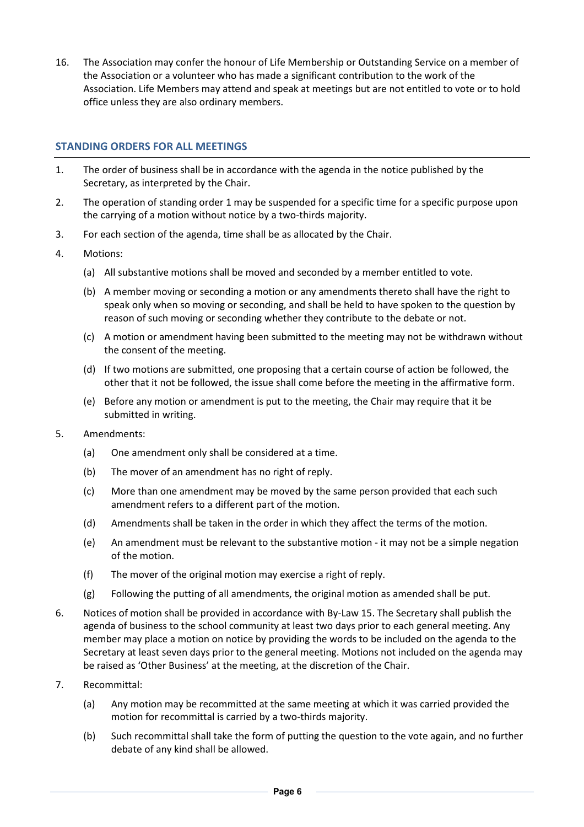16. The Association may confer the honour of Life Membership or Outstanding Service on a member of the Association or a volunteer who has made a significant contribution to the work of the Association. Life Members may attend and speak at meetings but are not entitled to vote or to hold office unless they are also ordinary members.

# **STANDING ORDERS FOR ALL MEETINGS**

- 1. The order of business shall be in accordance with the agenda in the notice published by the Secretary, as interpreted by the Chair.
- 2. The operation of standing order 1 may be suspended for a specific time for a specific purpose upon the carrying of a motion without notice by a two-thirds majority.
- 3. For each section of the agenda, time shall be as allocated by the Chair.
- 4. Motions:
	- (a) All substantive motions shall be moved and seconded by a member entitled to vote.
	- (b) A member moving or seconding a motion or any amendments thereto shall have the right to speak only when so moving or seconding, and shall be held to have spoken to the question by reason of such moving or seconding whether they contribute to the debate or not.
	- (c) A motion or amendment having been submitted to the meeting may not be withdrawn without the consent of the meeting.
	- (d) If two motions are submitted, one proposing that a certain course of action be followed, the other that it not be followed, the issue shall come before the meeting in the affirmative form.
	- (e) Before any motion or amendment is put to the meeting, the Chair may require that it be submitted in writing.
- 5. Amendments:
	- (a) One amendment only shall be considered at a time.
	- (b) The mover of an amendment has no right of reply.
	- (c) More than one amendment may be moved by the same person provided that each such amendment refers to a different part of the motion.
	- (d) Amendments shall be taken in the order in which they affect the terms of the motion.
	- (e) An amendment must be relevant to the substantive motion it may not be a simple negation of the motion.
	- (f) The mover of the original motion may exercise a right of reply.
	- (g) Following the putting of all amendments, the original motion as amended shall be put.
- 6. Notices of motion shall be provided in accordance with By-Law 15. The Secretary shall publish the agenda of business to the school community at least two days prior to each general meeting. Any member may place a motion on notice by providing the words to be included on the agenda to the Secretary at least seven days prior to the general meeting. Motions not included on the agenda may be raised as 'Other Business' at the meeting, at the discretion of the Chair.
- 7. Recommittal:
	- (a) Any motion may be recommitted at the same meeting at which it was carried provided the motion for recommittal is carried by a two-thirds majority.
	- (b) Such recommittal shall take the form of putting the question to the vote again, and no further debate of any kind shall be allowed.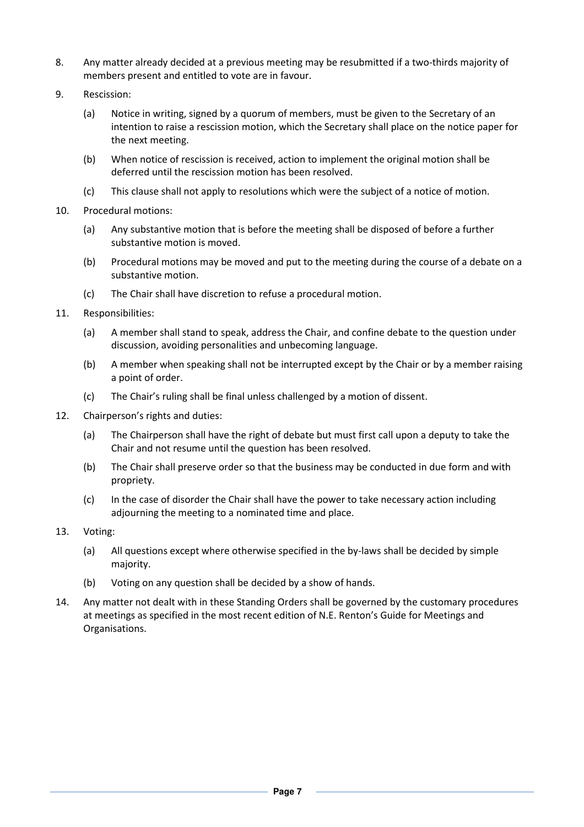- 8. Any matter already decided at a previous meeting may be resubmitted if a two-thirds majority of members present and entitled to vote are in favour.
- 9. Rescission:
	- (a) Notice in writing, signed by a quorum of members, must be given to the Secretary of an intention to raise a rescission motion, which the Secretary shall place on the notice paper for the next meeting.
	- (b) When notice of rescission is received, action to implement the original motion shall be deferred until the rescission motion has been resolved.
	- (c) This clause shall not apply to resolutions which were the subject of a notice of motion.
- 10. Procedural motions:
	- (a) Any substantive motion that is before the meeting shall be disposed of before a further substantive motion is moved.
	- (b) Procedural motions may be moved and put to the meeting during the course of a debate on a substantive motion.
	- (c) The Chair shall have discretion to refuse a procedural motion.
- 11. Responsibilities:
	- (a) A member shall stand to speak, address the Chair, and confine debate to the question under discussion, avoiding personalities and unbecoming language.
	- (b) A member when speaking shall not be interrupted except by the Chair or by a member raising a point of order.
	- (c) The Chair's ruling shall be final unless challenged by a motion of dissent.
- 12. Chairperson's rights and duties:
	- (a) The Chairperson shall have the right of debate but must first call upon a deputy to take the Chair and not resume until the question has been resolved.
	- (b) The Chair shall preserve order so that the business may be conducted in due form and with propriety.
	- (c) In the case of disorder the Chair shall have the power to take necessary action including adjourning the meeting to a nominated time and place.
- 13. Voting:
	- (a) All questions except where otherwise specified in the by-laws shall be decided by simple majority.
	- (b) Voting on any question shall be decided by a show of hands.
- 14. Any matter not dealt with in these Standing Orders shall be governed by the customary procedures at meetings as specified in the most recent edition of N.E. Renton's Guide for Meetings and Organisations.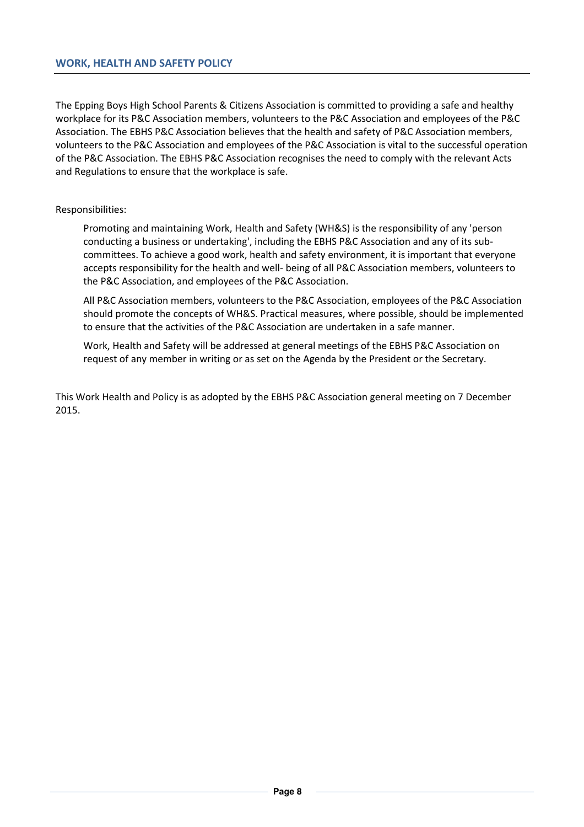The Epping Boys High School Parents & Citizens Association is committed to providing a safe and healthy workplace for its P&C Association members, volunteers to the P&C Association and employees of the P&C Association. The EBHS P&C Association believes that the health and safety of P&C Association members, volunteers to the P&C Association and employees of the P&C Association is vital to the successful operation of the P&C Association. The EBHS P&C Association recognises the need to comply with the relevant Acts and Regulations to ensure that the workplace is safe.

### Responsibilities:

Promoting and maintaining Work, Health and Safety (WH&S) is the responsibility of any 'person conducting a business or undertaking', including the EBHS P&C Association and any of its subcommittees. To achieve a good work, health and safety environment, it is important that everyone accepts responsibility for the health and well- being of all P&C Association members, volunteers to the P&C Association, and employees of the P&C Association.

All P&C Association members, volunteers to the P&C Association, employees of the P&C Association should promote the concepts of WH&S. Practical measures, where possible, should be implemented to ensure that the activities of the P&C Association are undertaken in a safe manner.

Work, Health and Safety will be addressed at general meetings of the EBHS P&C Association on request of any member in writing or as set on the Agenda by the President or the Secretary.

This Work Health and Policy is as adopted by the EBHS P&C Association general meeting on 7 December 2015.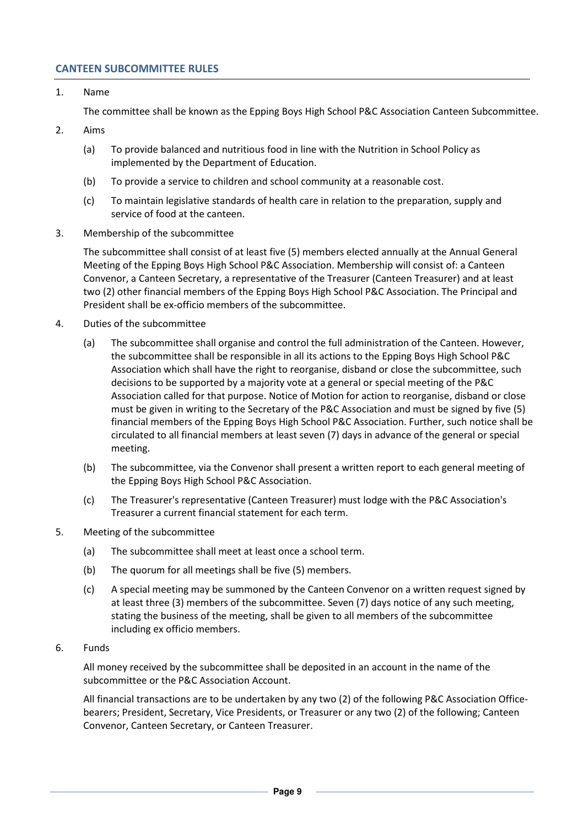### **CANTEEN SUBCOMMITTEE RULES**

1. Name

The committee shall be known as the Epping Boys High School P&C Association Canteen Subcommittee.

- 2. Aims
	- (a) To provide balanced and nutritious food in line with the Nutrition in School Policy as implemented by the Department of Education.
	- (b) To provide a service to children and school community at a reasonable cost.
	- (c) To maintain legislative standards of health care in relation to the preparation, supply and service of food at the canteen.
- 3. Membership of the subcommittee

The subcommittee shall consist of at least five (5) members elected annually at the Annual General Meeting of the Epping Boys High School P&C Association. Membership will consist of: a Canteen Convenor, a Canteen Secretary, a representative of the Treasurer (Canteen Treasurer) and at least two (2) other financial members of the Epping Boys High School P&C Association. The Principal and President shall be ex-officio members of the subcommittee.

- 4. Duties of the subcommittee
	- (a) The subcommittee shall organise and control the full administration of the Canteen. However, the subcommittee shall be responsible in all its actions to the Epping Boys High School P&C Association which shall have the right to reorganise, disband or close the subcommittee, such decisions to be supported by a majority vote at a general or special meeting of the P&C Association called for that purpose. Notice of Motion for action to reorganise, disband or close must be given in writing to the Secretary of the P&C Association and must be signed by five (5) financial members of the Epping Boys High School P&C Association. Further, such notice shall be circulated to all financial members at least seven (7) days in advance of the general or special meeting.
	- (b) The subcommittee, via the Convenor shall present a written report to each general meeting of the Epping Boys High School P&C Association.
	- (c) The Treasurer's representative (Canteen Treasurer) must lodge with the P&C Association's Treasurer a current financial statement for each term.
- 5. Meeting of the subcommittee
	- (a) The subcommittee shall meet at least once a school term.
	- (b) The quorum for all meetings shall be five (5) members.
	- (c) A special meeting may be summoned by the Canteen Convenor on a written request signed by at least three (3) members of the subcommittee. Seven (7) days notice of any such meeting, stating the business of the meeting, shall be given to all members of the subcommittee including ex officio members.
- 6. Funds

All money received by the subcommittee shall be deposited in an account in the name of the subcommittee or the P&C Association Account.

All financial transactions are to be undertaken by any two (2) of the following P&C Association Officebearers; President, Secretary, Vice Presidents, or Treasurer or any two (2) of the following; Canteen Convenor, Canteen Secretary, or Canteen Treasurer.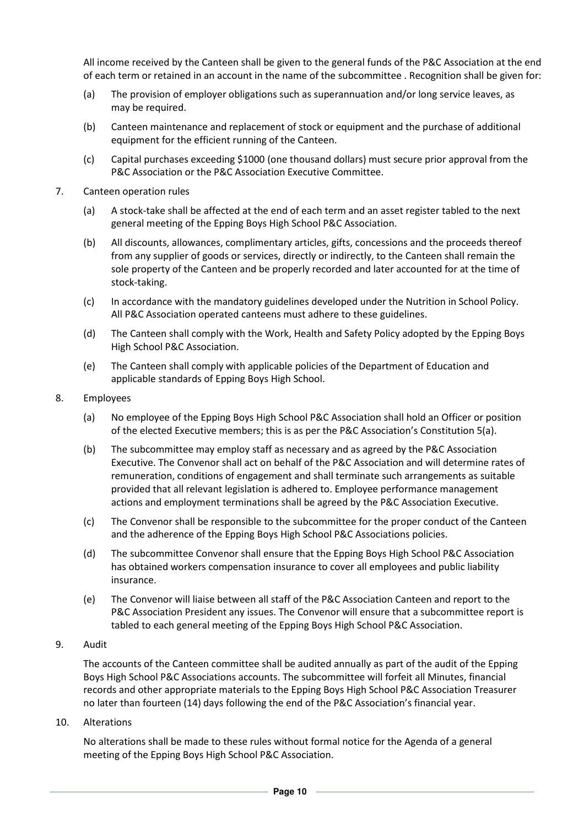All income received by the Canteen shall be given to the general funds of the P&C Association at the end of each term or retained in an account in the name of the subcommittee . Recognition shall be given for:

- (a) The provision of employer obligations such as superannuation and/or long service leaves, as may be required.
- (b) Canteen maintenance and replacement of stock or equipment and the purchase of additional equipment for the efficient running of the Canteen.
- (c) Capital purchases exceeding \$1000 (one thousand dollars) must secure prior approval from the P&C Association or the P&C Association Executive Committee.
- 7. Canteen operation rules
	- (a) A stock-take shall be affected at the end of each term and an asset register tabled to the next general meeting of the Epping Boys High School P&C Association.
	- (b) All discounts, allowances, complimentary articles, gifts, concessions and the proceeds thereof from any supplier of goods or services, directly or indirectly, to the Canteen shall remain the sole property of the Canteen and be properly recorded and later accounted for at the time of stock-taking.
	- (c) In accordance with the mandatory guidelines developed under the Nutrition in School Policy. All P&C Association operated canteens must adhere to these guidelines.
	- (d) The Canteen shall comply with the Work, Health and Safety Policy adopted by the Epping Boys High School P&C Association.
	- (e) The Canteen shall comply with applicable policies of the Department of Education and applicable standards of Epping Boys High School.
- 8. Employees
	- (a) No employee of the Epping Boys High School P&C Association shall hold an Officer or position of the elected Executive members; this is as per the P&C Association's Constitution 5(a).
	- (b) The subcommittee may employ staff as necessary and as agreed by the P&C Association Executive. The Convenor shall act on behalf of the P&C Association and will determine rates of remuneration, conditions of engagement and shall terminate such arrangements as suitable provided that all relevant legislation is adhered to. Employee performance management actions and employment terminations shall be agreed by the P&C Association Executive.
	- (c) The Convenor shall be responsible to the subcommittee for the proper conduct of the Canteen and the adherence of the Epping Boys High School P&C Associations policies.
	- (d) The subcommittee Convenor shall ensure that the Epping Boys High School P&C Association has obtained workers compensation insurance to cover all employees and public liability insurance.
	- (e) The Convenor will liaise between all staff of the P&C Association Canteen and report to the P&C Association President any issues. The Convenor will ensure that a subcommittee report is tabled to each general meeting of the Epping Boys High School P&C Association.
- 9. Audit

The accounts of the Canteen committee shall be audited annually as part of the audit of the Epping Boys High School P&C Associations accounts. The subcommittee will forfeit all Minutes, financial records and other appropriate materials to the Epping Boys High School P&C Association Treasurer no later than fourteen (14) days following the end of the P&C Association's financial year.

10. Alterations

No alterations shall be made to these rules without formal notice for the Agenda of a general meeting of the Epping Boys High School P&C Association.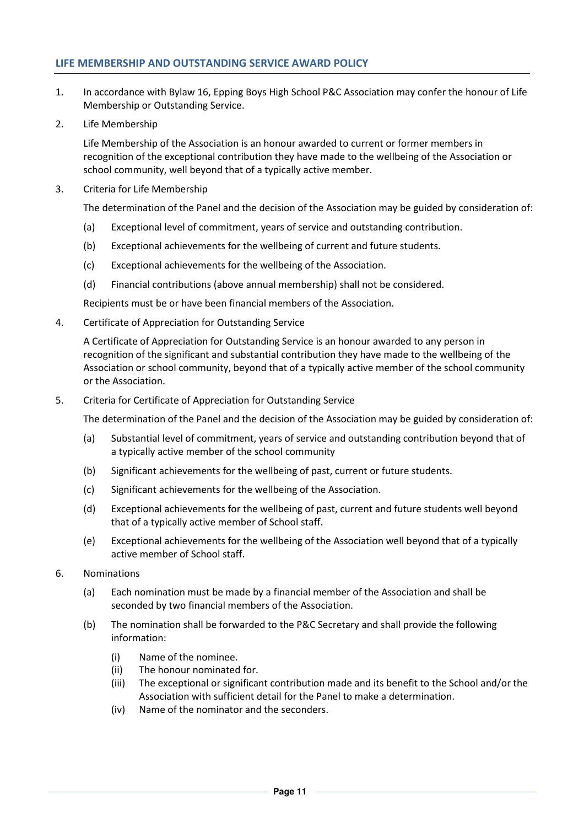### **LIFE MEMBERSHIP AND OUTSTANDING SERVICE AWARD POLICY**

- 1. In accordance with Bylaw 16, Epping Boys High School P&C Association may confer the honour of Life Membership or Outstanding Service.
- 2. Life Membership

Life Membership of the Association is an honour awarded to current or former members in recognition of the exceptional contribution they have made to the wellbeing of the Association or school community, well beyond that of a typically active member.

3. Criteria for Life Membership

The determination of the Panel and the decision of the Association may be guided by consideration of:

- (a) Exceptional level of commitment, years of service and outstanding contribution.
- (b) Exceptional achievements for the wellbeing of current and future students.
- (c) Exceptional achievements for the wellbeing of the Association.
- (d) Financial contributions (above annual membership) shall not be considered.

Recipients must be or have been financial members of the Association.

4. Certificate of Appreciation for Outstanding Service

A Certificate of Appreciation for Outstanding Service is an honour awarded to any person in recognition of the significant and substantial contribution they have made to the wellbeing of the Association or school community, beyond that of a typically active member of the school community or the Association.

5. Criteria for Certificate of Appreciation for Outstanding Service

The determination of the Panel and the decision of the Association may be guided by consideration of:

- (a) Substantial level of commitment, years of service and outstanding contribution beyond that of a typically active member of the school community
- (b) Significant achievements for the wellbeing of past, current or future students.
- (c) Significant achievements for the wellbeing of the Association.
- (d) Exceptional achievements for the wellbeing of past, current and future students well beyond that of a typically active member of School staff.
- (e) Exceptional achievements for the wellbeing of the Association well beyond that of a typically active member of School staff.
- 6. Nominations
	- (a) Each nomination must be made by a financial member of the Association and shall be seconded by two financial members of the Association.
	- (b) The nomination shall be forwarded to the P&C Secretary and shall provide the following information:
		- (i) Name of the nominee.
		- (ii) The honour nominated for.
		- (iii) The exceptional or significant contribution made and its benefit to the School and/or the Association with sufficient detail for the Panel to make a determination.
		- (iv) Name of the nominator and the seconders.